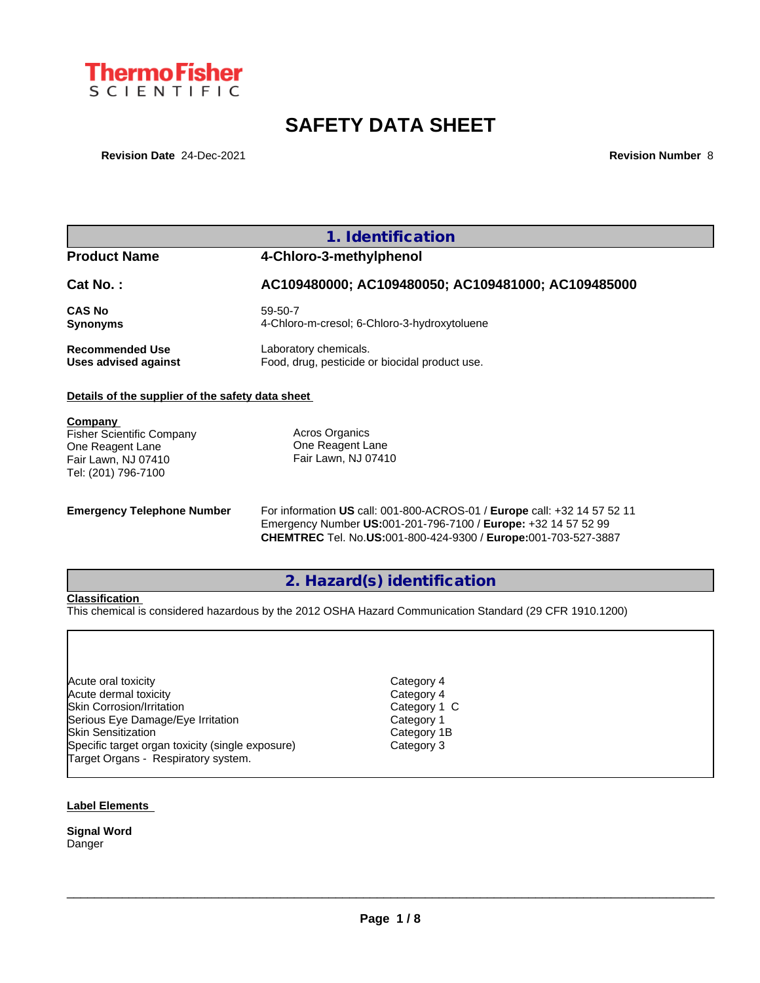

# **SAFETY DATA SHEET**

**Revision Date** 24-Dec-2021 **Revision Number** 8

## **1. Identification**

## **Product Name 4-Chloro-3-methylphenol**

## **Cat No. : AC109480000; AC109480050; AC109481000; AC109485000**

**CAS No** 59-50-7 **Synonyms** 4-Chloro-m-cresol; 6-Chloro-3-hydroxytoluene

**Recommended Use** Laboratory chemicals.<br> **Uses advised against** Food, drug, pesticide of Food, drug, pesticide or biocidal product use.

### **Details of the supplier of the safety data sheet**

**Company** 

Fisher Scientific Company One Reagent Lane Fair Lawn, NJ 07410 Tel: (201) 796-7100

Acros Organics One Reagent Lane Fair Lawn, NJ 07410

**Emergency Telephone Number** For information **US** call: 001-800-ACROS-01 / **Europe** call: +32 14 57 52 11 Emergency Number **US:**001-201-796-7100 / **Europe:** +32 14 57 52 99 **CHEMTREC** Tel. No.**US:**001-800-424-9300 / **Europe:**001-703-527-3887

## **2. Hazard(s) identification**

#### **Classification**

This chemical is considered hazardous by the 2012 OSHA Hazard Communication Standard (29 CFR 1910.1200)

Acute oral toxicity **Category 4** Acute dermal toxicity and the contract of the Category 4 Skin Corrosion/Irritation Category 1 C Serious Eye Damage/Eye Irritation entity of the Category 1<br>Skin Sensitization Category 1B **Skin Sensitization** Specific target organ toxicity (single exposure) Category 3 Target Organs - Respiratory system.

 $\_$  ,  $\_$  ,  $\_$  ,  $\_$  ,  $\_$  ,  $\_$  ,  $\_$  ,  $\_$  ,  $\_$  ,  $\_$  ,  $\_$  ,  $\_$  ,  $\_$  ,  $\_$  ,  $\_$  ,  $\_$  ,  $\_$  ,  $\_$  ,  $\_$  ,  $\_$  ,  $\_$  ,  $\_$  ,  $\_$  ,  $\_$  ,  $\_$  ,  $\_$  ,  $\_$  ,  $\_$  ,  $\_$  ,  $\_$  ,  $\_$  ,  $\_$  ,  $\_$  ,  $\_$  ,  $\_$  ,  $\_$  ,  $\_$  ,

#### **Label Elements**

**Signal Word** Danger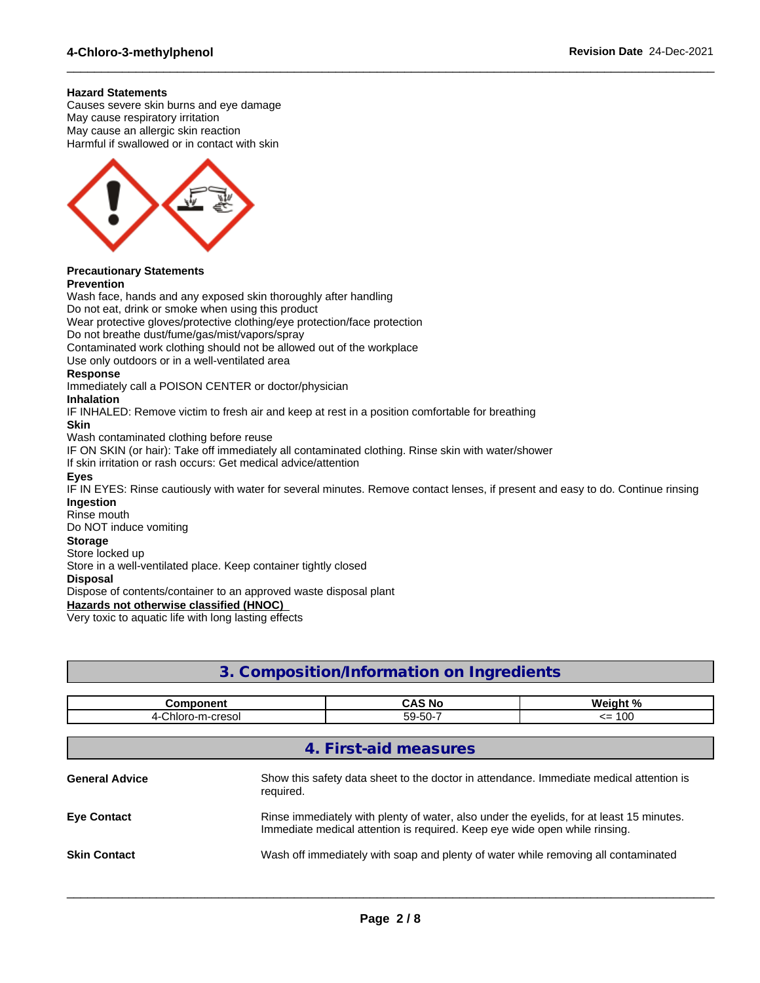#### **Hazard Statements**

Causes severe skin burns and eye damage May cause respiratory irritation May cause an allergic skin reaction Harmful if swallowed or in contact with skin



## **Precautionary Statements**

#### **Prevention**

Wash face, hands and any exposed skin thoroughly after handling Do not eat, drink or smoke when using this product Wear protective gloves/protective clothing/eye protection/face protection Do not breathe dust/fume/gas/mist/vapors/spray Contaminated work clothing should not be allowed out of the workplace Use only outdoors or in a well-ventilated area **Response** Immediately call a POISON CENTER or doctor/physician **Inhalation** IF INHALED: Remove victim to fresh air and keep at rest in a position comfortable for breathing **Skin** Wash contaminated clothing before reuse IF ON SKIN (or hair): Take off immediately all contaminated clothing. Rinse skin with water/shower If skin irritation or rash occurs: Get medical advice/attention **Eyes** IF IN EYES: Rinse cautiously with water for several minutes. Remove contact lenses, if present and easy to do. Continue rinsing **Ingestion** Rinse mouth Do NOT induce vomiting **Storage** Store locked up Store in a well-ventilated place. Keep container tightly closed **Disposal**

Dispose of contents/container to an approved waste disposal plant

**Hazards not otherwise classified (HNOC)**

Very toxic to aquatic life with long lasting effects

## **3. Composition/Information on Ingredients**

 $\_$  ,  $\_$  ,  $\_$  ,  $\_$  ,  $\_$  ,  $\_$  ,  $\_$  ,  $\_$  ,  $\_$  ,  $\_$  ,  $\_$  ,  $\_$  ,  $\_$  ,  $\_$  ,  $\_$  ,  $\_$  ,  $\_$  ,  $\_$  ,  $\_$  ,  $\_$  ,  $\_$  ,  $\_$  ,  $\_$  ,  $\_$  ,  $\_$  ,  $\_$  ,  $\_$  ,  $\_$  ,  $\_$  ,  $\_$  ,  $\_$  ,  $\_$  ,  $\_$  ,  $\_$  ,  $\_$  ,  $\_$  ,  $\_$  ,

| <b>Component</b>      |           | <b>CAS No</b>                                                                                                                                                          | Weight %                                                                                |  |
|-----------------------|-----------|------------------------------------------------------------------------------------------------------------------------------------------------------------------------|-----------------------------------------------------------------------------------------|--|
| 4-Chloro-m-cresol     |           | 59-50-7                                                                                                                                                                | $\leq$ 100                                                                              |  |
|                       |           |                                                                                                                                                                        |                                                                                         |  |
|                       |           | 4. First-aid measures                                                                                                                                                  |                                                                                         |  |
| <b>General Advice</b> | required. |                                                                                                                                                                        | Show this safety data sheet to the doctor in attendance. Immediate medical attention is |  |
| <b>Eye Contact</b>    |           | Rinse immediately with plenty of water, also under the eyelids, for at least 15 minutes.<br>Immediate medical attention is required. Keep eye wide open while rinsing. |                                                                                         |  |
| <b>Skin Contact</b>   |           | Wash off immediately with soap and plenty of water while removing all contaminated                                                                                     |                                                                                         |  |
|                       |           |                                                                                                                                                                        |                                                                                         |  |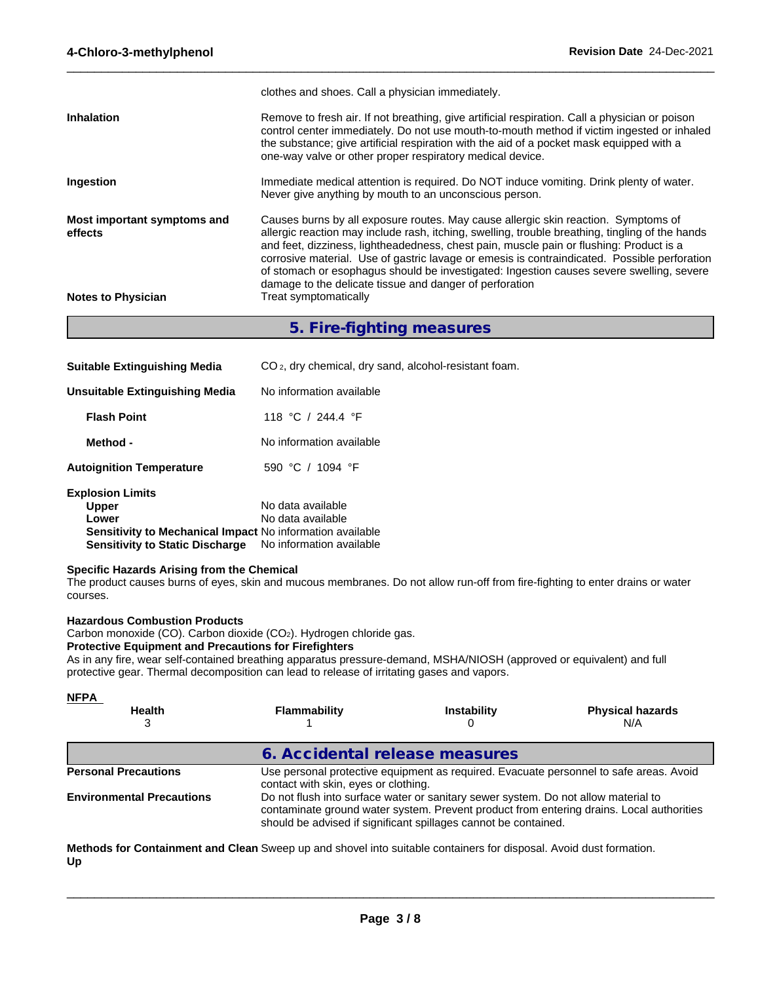|                                        | clothes and shoes. Call a physician immediately.                                                                                                                                                                                                                                                                                                                                                                                                                                                                                        |
|----------------------------------------|-----------------------------------------------------------------------------------------------------------------------------------------------------------------------------------------------------------------------------------------------------------------------------------------------------------------------------------------------------------------------------------------------------------------------------------------------------------------------------------------------------------------------------------------|
| <b>Inhalation</b>                      | Remove to fresh air. If not breathing, give artificial respiration. Call a physician or poison<br>control center immediately. Do not use mouth-to-mouth method if victim ingested or inhaled<br>the substance; give artificial respiration with the aid of a pocket mask equipped with a<br>one-way valve or other proper respiratory medical device.                                                                                                                                                                                   |
| Ingestion                              | Immediate medical attention is required. Do NOT induce vomiting. Drink plenty of water.<br>Never give anything by mouth to an unconscious person.                                                                                                                                                                                                                                                                                                                                                                                       |
| Most important symptoms and<br>effects | Causes burns by all exposure routes. May cause allergic skin reaction. Symptoms of<br>allergic reaction may include rash, itching, swelling, trouble breathing, tingling of the hands<br>and feet, dizziness, lightheadedness, chest pain, muscle pain or flushing: Product is a<br>corrosive material. Use of gastric lavage or emesis is contraindicated. Possible perforation<br>of stomach or esophagus should be investigated: Ingestion causes severe swelling, severe<br>damage to the delicate tissue and danger of perforation |
| <b>Notes to Physician</b>              | Treat symptomatically                                                                                                                                                                                                                                                                                                                                                                                                                                                                                                                   |

 $\_$  ,  $\_$  ,  $\_$  ,  $\_$  ,  $\_$  ,  $\_$  ,  $\_$  ,  $\_$  ,  $\_$  ,  $\_$  ,  $\_$  ,  $\_$  ,  $\_$  ,  $\_$  ,  $\_$  ,  $\_$  ,  $\_$  ,  $\_$  ,  $\_$  ,  $\_$  ,  $\_$  ,  $\_$  ,  $\_$  ,  $\_$  ,  $\_$  ,  $\_$  ,  $\_$  ,  $\_$  ,  $\_$  ,  $\_$  ,  $\_$  ,  $\_$  ,  $\_$  ,  $\_$  ,  $\_$  ,  $\_$  ,  $\_$  ,

## **5. Fire-fighting measures**

| <b>Suitable Extinguishing Media</b>                              | CO <sub>2</sub> , dry chemical, dry sand, alcohol-resistant foam. |
|------------------------------------------------------------------|-------------------------------------------------------------------|
| <b>Unsuitable Extinguishing Media</b>                            | No information available                                          |
| <b>Flash Point</b>                                               | 118 °C / 244.4 °F                                                 |
| Method -                                                         | No information available                                          |
| <b>Autoignition Temperature</b>                                  | 590 °C / 1094 °F                                                  |
| <b>Explosion Limits</b>                                          |                                                                   |
| <b>Upper</b>                                                     | No data available                                                 |
| Lower                                                            | No data available                                                 |
| <b>Sensitivity to Mechanical Impact No information available</b> |                                                                   |
| <b>Sensitivity to Static Discharge</b>                           | No information available                                          |

#### **Specific Hazards Arising from the Chemical**

The product causes burns of eyes, skin and mucous membranes. Do not allow run-off from fire-fighting to enter drains or water courses.

#### **Hazardous Combustion Products**

Carbon monoxide (CO). Carbon dioxide (CO2). Hydrogen chloride gas.

#### **Protective Equipment and Precautions for Firefighters**

As in any fire, wear self-contained breathing apparatus pressure-demand, MSHA/NIOSH (approved or equivalent) and full protective gear. Thermal decomposition can lead to release of irritating gases and vapors.

| <b>NFPA</b><br><b>Health</b>     | Flammability                         | <b>Instability</b>                                                                                                                                    | <b>Physical hazards</b><br>N/A                                                           |
|----------------------------------|--------------------------------------|-------------------------------------------------------------------------------------------------------------------------------------------------------|------------------------------------------------------------------------------------------|
|                                  | 6. Accidental release measures       |                                                                                                                                                       |                                                                                          |
| <b>Personal Precautions</b>      | contact with skin, eyes or clothing. |                                                                                                                                                       | Use personal protective equipment as required. Evacuate personnel to safe areas. Avoid   |
| <b>Environmental Precautions</b> |                                      | Do not flush into surface water or sanitary sewer system. Do not allow material to<br>should be advised if significant spillages cannot be contained. | contaminate ground water system. Prevent product from entering drains. Local authorities |
|                                  |                                      |                                                                                                                                                       |                                                                                          |

**Methods for Containment and Clean** Sweep up and shovel into suitable containers for disposal. Avoid dust formation. **Up**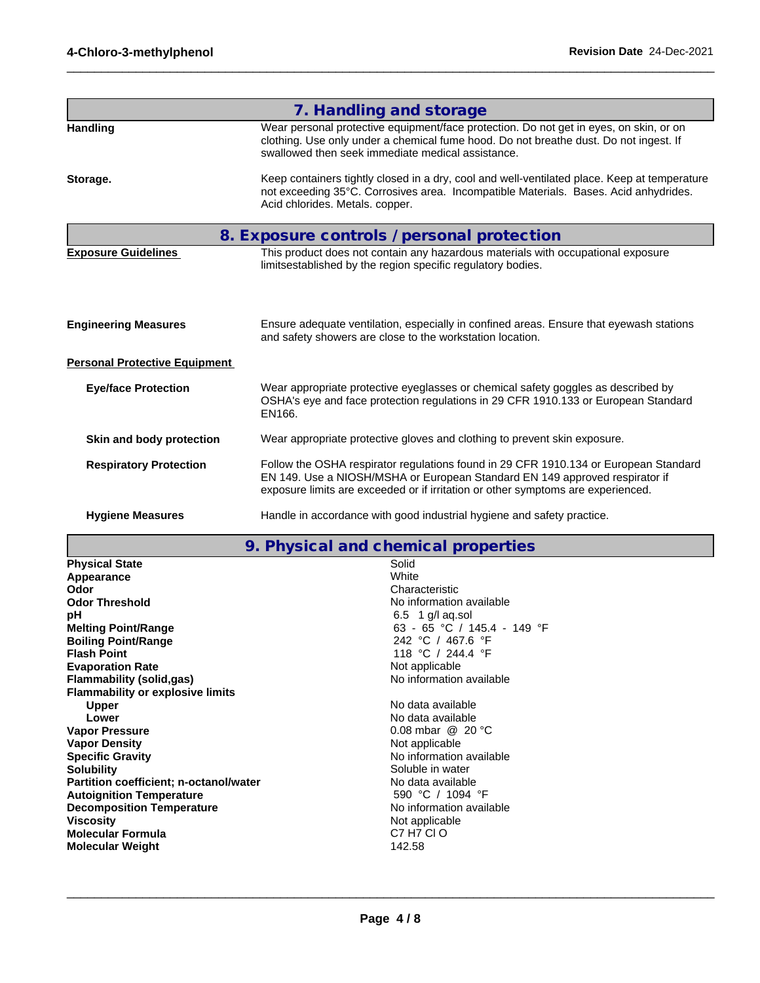|                                      | 7. Handling and storage                                                                                                                                                                                                                                 |
|--------------------------------------|---------------------------------------------------------------------------------------------------------------------------------------------------------------------------------------------------------------------------------------------------------|
| <b>Handling</b>                      | Wear personal protective equipment/face protection. Do not get in eyes, on skin, or on<br>clothing. Use only under a chemical fume hood. Do not breathe dust. Do not ingest. If<br>swallowed then seek immediate medical assistance.                    |
| Storage.                             | Keep containers tightly closed in a dry, cool and well-ventilated place. Keep at temperature<br>not exceeding 35°C. Corrosives area. Incompatible Materials. Bases. Acid anhydrides.<br>Acid chlorides. Metals. copper.                                 |
|                                      | 8. Exposure controls / personal protection                                                                                                                                                                                                              |
| <b>Exposure Guidelines</b>           | This product does not contain any hazardous materials with occupational exposure<br>limitsestablished by the region specific regulatory bodies.                                                                                                         |
| <b>Engineering Measures</b>          | Ensure adequate ventilation, especially in confined areas. Ensure that eyewash stations<br>and safety showers are close to the workstation location.                                                                                                    |
| <b>Personal Protective Equipment</b> |                                                                                                                                                                                                                                                         |
| <b>Eye/face Protection</b>           | Wear appropriate protective eyeglasses or chemical safety goggles as described by<br>OSHA's eye and face protection regulations in 29 CFR 1910.133 or European Standard<br>EN166.                                                                       |
| Skin and body protection             | Wear appropriate protective gloves and clothing to prevent skin exposure.                                                                                                                                                                               |
| <b>Respiratory Protection</b>        | Follow the OSHA respirator regulations found in 29 CFR 1910.134 or European Standard<br>EN 149. Use a NIOSH/MSHA or European Standard EN 149 approved respirator if<br>exposure limits are exceeded or if irritation or other symptoms are experienced. |
| <b>Hygiene Measures</b>              | Handle in accordance with good industrial hygiene and safety practice.                                                                                                                                                                                  |

 $\_$  ,  $\_$  ,  $\_$  ,  $\_$  ,  $\_$  ,  $\_$  ,  $\_$  ,  $\_$  ,  $\_$  ,  $\_$  ,  $\_$  ,  $\_$  ,  $\_$  ,  $\_$  ,  $\_$  ,  $\_$  ,  $\_$  ,  $\_$  ,  $\_$  ,  $\_$  ,  $\_$  ,  $\_$  ,  $\_$  ,  $\_$  ,  $\_$  ,  $\_$  ,  $\_$  ,  $\_$  ,  $\_$  ,  $\_$  ,  $\_$  ,  $\_$  ,  $\_$  ,  $\_$  ,  $\_$  ,  $\_$  ,  $\_$  ,

| 9. Physical and chemical properties |  |
|-------------------------------------|--|
|-------------------------------------|--|

| <b>Physical State</b>                   | Solid                            |
|-----------------------------------------|----------------------------------|
| Appearance                              | White                            |
| Odor                                    | Characteristic                   |
| <b>Odor Threshold</b>                   | No information available         |
| рH                                      | $6.5 \quad 1 \text{ g/l}$ aq.sol |
| <b>Melting Point/Range</b>              | 63 - 65 °C / 145.4 - 149 °F      |
| <b>Boiling Point/Range</b>              | 242 °C / 467.6 °F                |
| <b>Flash Point</b>                      | 118 °C / 244.4 °F                |
| <b>Evaporation Rate</b>                 | Not applicable                   |
| Flammability (solid,gas)                | No information available         |
| <b>Flammability or explosive limits</b> |                                  |
| <b>Upper</b>                            | No data available                |
| Lower                                   | No data available                |
| <b>Vapor Pressure</b>                   | 0.08 mbar $@$ 20 °C              |
| <b>Vapor Density</b>                    | Not applicable                   |
| <b>Specific Gravity</b>                 | No information available         |
| <b>Solubility</b>                       | Soluble in water                 |
| Partition coefficient; n-octanol/water  | No data available                |
| <b>Autoignition Temperature</b>         | 590 °C / 1094 °F                 |
| <b>Decomposition Temperature</b>        | No information available         |
| <b>Viscosity</b>                        | Not applicable                   |
| Molecular Formula                       | C7 H7 CI O                       |
| <b>Molecular Weight</b>                 | 142.58                           |
|                                         |                                  |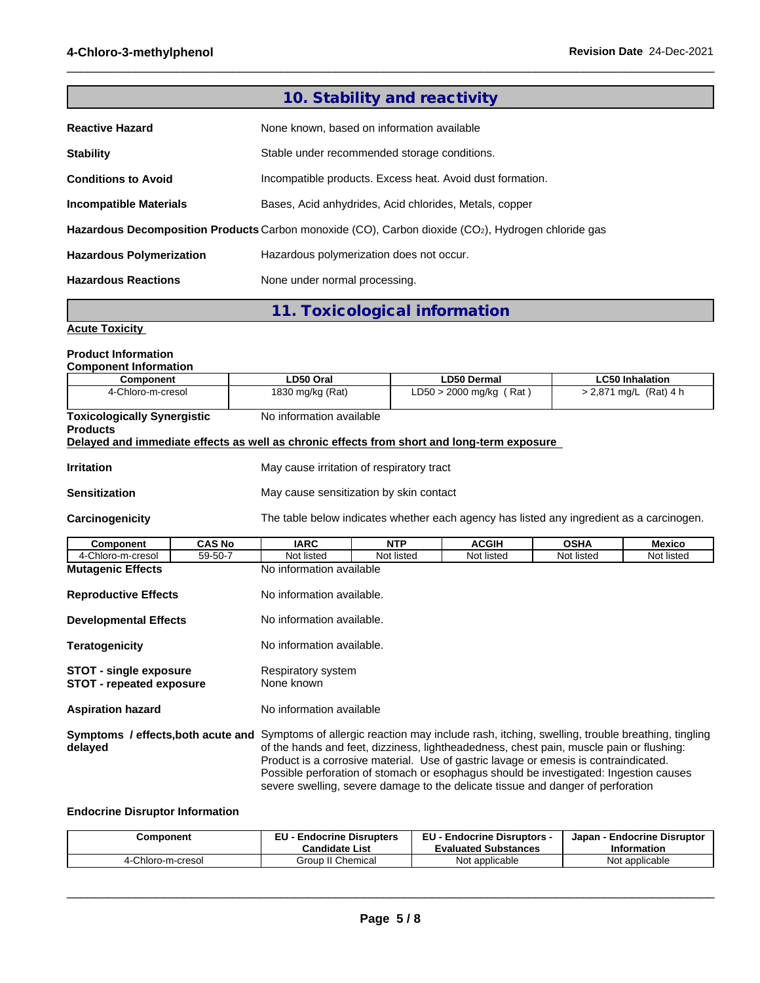|                                 | 10. Stability and reactivity                                                                       |
|---------------------------------|----------------------------------------------------------------------------------------------------|
| <b>Reactive Hazard</b>          | None known, based on information available                                                         |
| <b>Stability</b>                | Stable under recommended storage conditions.                                                       |
| <b>Conditions to Avoid</b>      | Incompatible products. Excess heat. Avoid dust formation.                                          |
| <b>Incompatible Materials</b>   | Bases, Acid anhydrides, Acid chlorides, Metals, copper                                             |
|                                 | Hazardous Decomposition Products Carbon monoxide (CO), Carbon dioxide (CO2), Hydrogen chloride gas |
| <b>Hazardous Polymerization</b> | Hazardous polymerization does not occur.                                                           |
| <b>Hazardous Reactions</b>      | None under normal processing.                                                                      |

 $\_$  ,  $\_$  ,  $\_$  ,  $\_$  ,  $\_$  ,  $\_$  ,  $\_$  ,  $\_$  ,  $\_$  ,  $\_$  ,  $\_$  ,  $\_$  ,  $\_$  ,  $\_$  ,  $\_$  ,  $\_$  ,  $\_$  ,  $\_$  ,  $\_$  ,  $\_$  ,  $\_$  ,  $\_$  ,  $\_$  ,  $\_$  ,  $\_$  ,  $\_$  ,  $\_$  ,  $\_$  ,  $\_$  ,  $\_$  ,  $\_$  ,  $\_$  ,  $\_$  ,  $\_$  ,  $\_$  ,  $\_$  ,  $\_$  ,

**11. Toxicological information**

#### **Acute Toxicity**

### **Product Information**

**Component Information**

| Component                          | LD50 Oral                                                                                  | LD50 Dermal                                                                              | <b>LC50 Inhalation</b>   |
|------------------------------------|--------------------------------------------------------------------------------------------|------------------------------------------------------------------------------------------|--------------------------|
| 4-Chloro-m-cresol                  | 1830 mg/kg (Rat)                                                                           | $LD50 > 2000$ mg/kg (Rat)                                                                | $> 2,871$ mg/L (Rat) 4 h |
|                                    |                                                                                            |                                                                                          |                          |
| <b>Toxicologically Synergistic</b> | No information available                                                                   |                                                                                          |                          |
| <b>Products</b>                    |                                                                                            |                                                                                          |                          |
|                                    | Delayed and immediate effects as well as chronic effects from short and long-term exposure |                                                                                          |                          |
|                                    |                                                                                            |                                                                                          |                          |
| Irritation                         | May cause irritation of respiratory tract                                                  |                                                                                          |                          |
|                                    |                                                                                            |                                                                                          |                          |
| Sensitization                      | May cause sensitization by skin contact                                                    |                                                                                          |                          |
|                                    |                                                                                            |                                                                                          |                          |
| <b>Carcinogenicity</b>             |                                                                                            | The table below indicates whether each agency has listed any ingredient as a carcinogen. |                          |
|                                    |                                                                                            |                                                                                          |                          |

| Component                                                                                                                                           | <b>CAS No</b> | <b>IARC</b>                                                                             | <b>NTP</b> | <b>ACGIH</b>                                                                                                                                                                                                                                                     | <b>OSHA</b> | <b>Mexico</b> |
|-----------------------------------------------------------------------------------------------------------------------------------------------------|---------------|-----------------------------------------------------------------------------------------|------------|------------------------------------------------------------------------------------------------------------------------------------------------------------------------------------------------------------------------------------------------------------------|-------------|---------------|
| 4-Chloro-m-cresol                                                                                                                                   | 59-50-7       | Not listed                                                                              | Not listed | Not listed                                                                                                                                                                                                                                                       | Not listed  | Not listed    |
| <b>Mutagenic Effects</b>                                                                                                                            |               | No information available                                                                |            |                                                                                                                                                                                                                                                                  |             |               |
| <b>Reproductive Effects</b>                                                                                                                         |               | No information available.                                                               |            |                                                                                                                                                                                                                                                                  |             |               |
| <b>Developmental Effects</b>                                                                                                                        |               | No information available.                                                               |            |                                                                                                                                                                                                                                                                  |             |               |
| <b>Teratogenicity</b>                                                                                                                               |               | No information available.                                                               |            |                                                                                                                                                                                                                                                                  |             |               |
| <b>STOT - single exposure</b><br><b>STOT - repeated exposure</b>                                                                                    |               | Respiratory system<br>None known                                                        |            |                                                                                                                                                                                                                                                                  |             |               |
| <b>Aspiration hazard</b>                                                                                                                            |               | No information available                                                                |            |                                                                                                                                                                                                                                                                  |             |               |
| <b>Symptoms / effects, both acute and</b> Symptoms of allergic reaction may include rash, itching, swelling, trouble breathing, tingling<br>delayed |               | of the hands and feet, dizziness, lightheadedness, chest pain, muscle pain or flushing: |            | Product is a corrosive material. Use of gastric lavage or emesis is contraindicated.<br>Possible perforation of stomach or esophagus should be investigated: Ingestion causes<br>severe swelling, severe damage to the delicate tissue and danger of perforation |             |               |

#### **Endocrine Disruptor Information**

| Component         | <b>Endocrine Disrupters</b> | EU -                          | <b>Endocrine Disruptor</b> |
|-------------------|-----------------------------|-------------------------------|----------------------------|
|                   | -.                          | <b>Endocrine Disruptors -</b> | Japan                      |
|                   | <b>Candidate List</b>       | <b>Evaluated Substances</b>   | Information                |
| 4-Chloro-m-cresol | Group II Chemical           | : applicable<br>Not           | Not applicable             |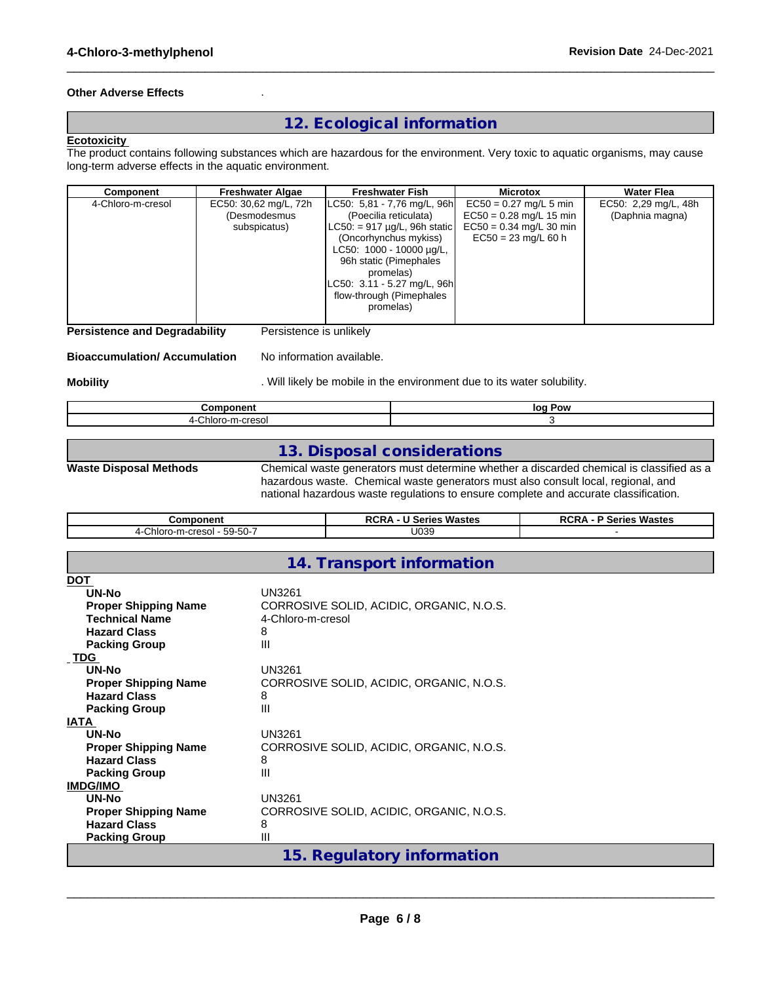#### **Other Adverse Effects** .

## **12. Ecological information**

 $\_$  ,  $\_$  ,  $\_$  ,  $\_$  ,  $\_$  ,  $\_$  ,  $\_$  ,  $\_$  ,  $\_$  ,  $\_$  ,  $\_$  ,  $\_$  ,  $\_$  ,  $\_$  ,  $\_$  ,  $\_$  ,  $\_$  ,  $\_$  ,  $\_$  ,  $\_$  ,  $\_$  ,  $\_$  ,  $\_$  ,  $\_$  ,  $\_$  ,  $\_$  ,  $\_$  ,  $\_$  ,  $\_$  ,  $\_$  ,  $\_$  ,  $\_$  ,  $\_$  ,  $\_$  ,  $\_$  ,  $\_$  ,  $\_$  ,

#### **Ecotoxicity**

The product contains following substances which are hazardous for the environment. Very toxic to aquatic organisms, may cause long-term adverse effects in the aquatic environment.

| Component         | <b>Freshwater Algae</b>                               | <b>Freshwater Fish</b>                                                                                                                                                                                                  | <b>Microtox</b>                                                                                             | Water Flea                              |  |
|-------------------|-------------------------------------------------------|-------------------------------------------------------------------------------------------------------------------------------------------------------------------------------------------------------------------------|-------------------------------------------------------------------------------------------------------------|-----------------------------------------|--|
| 4-Chloro-m-cresol | EC50: 30,62 mg/L, 72h<br>(Desmodesmus<br>subspicatus) | LC50: 5,81 - 7,76 mg/L, 96h<br>(Poecilia reticulata)<br>$LC50$ : = 917 $\mu$ g/L, 96h static<br>(Oncorhynchus mykiss)<br>LC50: 1000 - 10000 µg/L,<br>96h static (Pimephales<br>promelas)<br>LC50: 3.11 - 5.27 mg/L, 96h | $EC50 = 0.27$ mg/L 5 min<br>$EC50 = 0.28$ mg/L 15 min<br>$EC50 = 0.34$ mg/L 30 min<br>$EC50 = 23$ mg/L 60 h | EC50: 2,29 mg/L, 48h<br>(Daphnia magna) |  |
|                   |                                                       | flow-through (Pimephales<br>promelas)                                                                                                                                                                                   |                                                                                                             |                                         |  |

**Persistence and Degradability** Persistence is unlikely

#### **Bioaccumulation/ Accumulation** No information available.

**Mobility Mobility Mobility** . Will likely be mobile in the environment due to its water solubility.

| -------                          | Pow |
|----------------------------------|-----|
| - - - -                          | lor |
| $\cap$ hlon<br>. .<br>ື<br>,,,,, |     |

## **13. Disposal considerations**

**Waste Disposal Methods** Chemical waste generators must determine whether a discarded chemical is classified as a hazardous waste. Chemical waste generators must also consult local, regional, and national hazardous waste regulations to ensure complete and accurate classification.

| Component                                           | Wastes<br>OCD.<br>.<br>series<br>KGRA. | Wastes<br><b>RCR</b><br>- -<br><b>Series</b><br>o n |
|-----------------------------------------------------|----------------------------------------|-----------------------------------------------------|
| $-59-50-7$<br>-cresol<br>∕-hloro-mٽ<br>$\epsilon$ . | U039                                   |                                                     |

## **14. Transport information**

| <b>DOT</b>                  |                                          |
|-----------------------------|------------------------------------------|
| UN-No                       | UN3261                                   |
| <b>Proper Shipping Name</b> | CORROSIVE SOLID, ACIDIC, ORGANIC, N.O.S. |
| <b>Technical Name</b>       | 4-Chloro-m-cresol                        |
| <b>Hazard Class</b>         | 8                                        |
| <b>Packing Group</b>        | Ш                                        |
| <b>TDG</b>                  |                                          |
| UN-No                       | UN3261                                   |
| <b>Proper Shipping Name</b> | CORROSIVE SOLID, ACIDIC, ORGANIC, N.O.S. |
| <b>Hazard Class</b>         | 8                                        |
| <b>Packing Group</b>        | Ш                                        |
| <b>IATA</b>                 |                                          |
| UN-No                       | <b>UN3261</b>                            |
| <b>Proper Shipping Name</b> | CORROSIVE SOLID, ACIDIC, ORGANIC, N.O.S. |
| <b>Hazard Class</b>         | 8                                        |
| <b>Packing Group</b>        | Ш                                        |
| <b>IMDG/IMO</b>             |                                          |
| UN-No                       | UN3261                                   |
| <b>Proper Shipping Name</b> | CORROSIVE SOLID, ACIDIC, ORGANIC, N.O.S. |
| <b>Hazard Class</b>         | 8                                        |
| <b>Packing Group</b>        | Ш                                        |
|                             | 15. Regulatory information               |
|                             |                                          |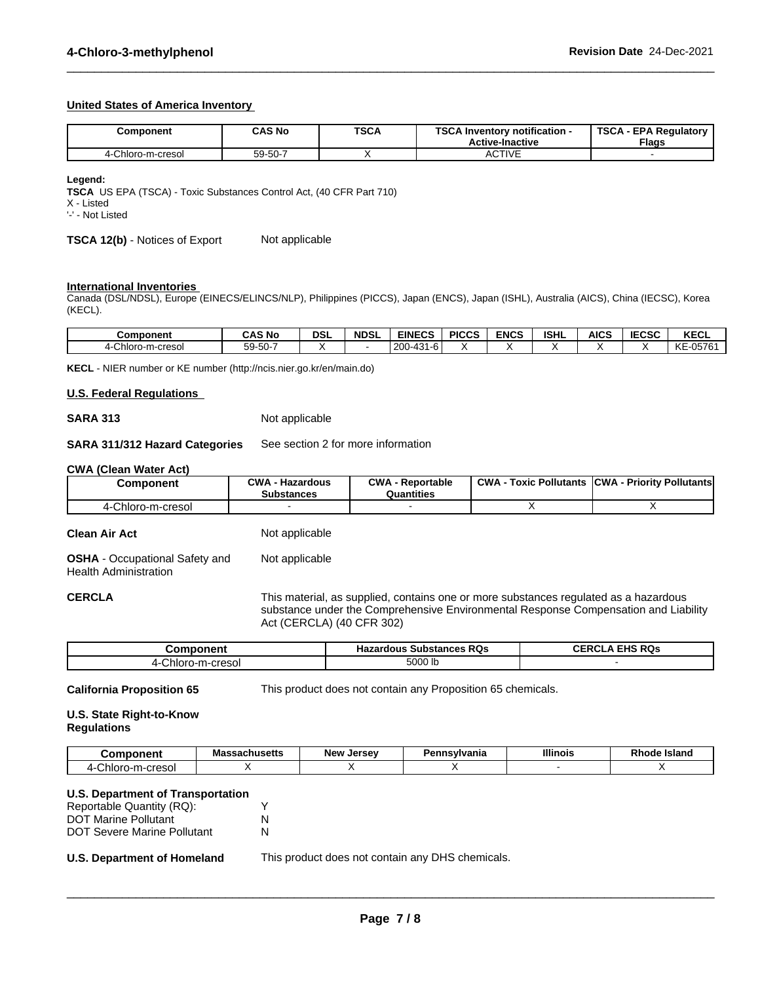#### **United States of America Inventory**

| Component                 | <b>CAS No</b> | <b>TSCA</b> | TOO AL<br><b>TSCA</b><br>Inventory notification -<br>∧ - EPA Requiatory '<br>อษย<br><b>Flags</b><br><b>Active-Inactive</b> |  |
|---------------------------|---------------|-------------|----------------------------------------------------------------------------------------------------------------------------|--|
| Chloro-m-cresol<br>-4-Ch. | 59-50-7       |             | <b>ACTIVE</b>                                                                                                              |  |

 $\_$  ,  $\_$  ,  $\_$  ,  $\_$  ,  $\_$  ,  $\_$  ,  $\_$  ,  $\_$  ,  $\_$  ,  $\_$  ,  $\_$  ,  $\_$  ,  $\_$  ,  $\_$  ,  $\_$  ,  $\_$  ,  $\_$  ,  $\_$  ,  $\_$  ,  $\_$  ,  $\_$  ,  $\_$  ,  $\_$  ,  $\_$  ,  $\_$  ,  $\_$  ,  $\_$  ,  $\_$  ,  $\_$  ,  $\_$  ,  $\_$  ,  $\_$  ,  $\_$  ,  $\_$  ,  $\_$  ,  $\_$  ,  $\_$  ,

**Legend:**

**TSCA** US EPA (TSCA) - Toxic Substances Control Act, (40 CFR Part 710)

X - Listed

'-' - Not Listed

**TSCA 12(b)** - Notices of Export Not applicable

#### **International Inventories**

Canada (DSL/NDSL), Europe (EINECS/ELINCS/NLP), Philippines (PICCS), Japan (ENCS), Japan (ISHL), Australia (AICS), China (IECSC), Korea (KECL).

| <b>Component</b>         | <b>CAS No</b>                      | DSI | <b>NDSL</b> | <b>EINECS</b>                                           | <b>PICCS</b> | <b>ENCS</b> | <b>ISHL</b> | <b>AICS</b> | IFABA<br>IECSC | <b>KECL</b>                           |
|--------------------------|------------------------------------|-----|-------------|---------------------------------------------------------|--------------|-------------|-------------|-------------|----------------|---------------------------------------|
| -m-cresol<br>Chloro<br>" | $ \sim$<br>--<br>$\sim$<br>59-50-7 |     |             | $\Lambda$ $\Omega$<br>200<br>$\sim$<br>$-$<br>ס-ו<br>rv |              |             |             |             |                | $\mathbf{L}$<br>KE-05761<br><b>NL</b> |

**KECL** - NIER number or KE number (http://ncis.nier.go.kr/en/main.do)

#### **U.S. Federal Regulations**

#### **SARA 313** Not applicable

#### **SARA 311/312 Hazard Categories** See section 2 for more information

#### **CWA** (Clean Water Act)

| Component             | $\sim$ M/A<br>· Hazardous<br><b>Substances</b> | CWA<br>- Reportable<br>Quantities | <b>CWA</b><br><b>Toxic Pollutants</b> | <b>Priority Pollutants</b><br>ICWA - |
|-----------------------|------------------------------------------------|-----------------------------------|---------------------------------------|--------------------------------------|
| Chloro-m-cresol<br>п. |                                                |                                   |                                       |                                      |

**Clean Air Act** Not applicable

**OSHA** - Occupational Safety and Health Administration Not applicable

**CERCLA** This material, as supplied, contains one or more substances regulated as a hazardous substance under the Comprehensive Environmental Response Compensation and Liability Act (CERCLA) (40 CFR 302)

| omponent        | <b>Substances RQs</b><br>Hazardous | <b>EHS RQs</b><br>CER |
|-----------------|------------------------------------|-----------------------|
| Chloro-m-cresol | 5000 lb                            |                       |

**California Proposition 65** This product does not contain any Proposition 65 chemicals.

#### **U.S. State Right-to-Know Regulations**

| ואonent                                                        | -ecachucatt<br>Massachusetts | <b>New</b><br><b>Larcay</b><br>JELSE | nnsvlvania<br>ъ.<br>enns\ | <b>Illinois</b> | <b>Island</b><br>. .<br>Rnoae |
|----------------------------------------------------------------|------------------------------|--------------------------------------|---------------------------|-----------------|-------------------------------|
| cresol<br>·m-<br>$\overline{\phantom{a}}$<br>. .UILL<br>וטכסוט |                              |                                      |                           |                 |                               |

#### **U.S. Department of Transportation**

| Reportable Quantity (RQ):          |   |
|------------------------------------|---|
| <b>DOT Marine Pollutant</b>        | N |
| <b>DOT Severe Marine Pollutant</b> | N |

**U.S. Department of Homeland** This product does not contain any DHS chemicals.